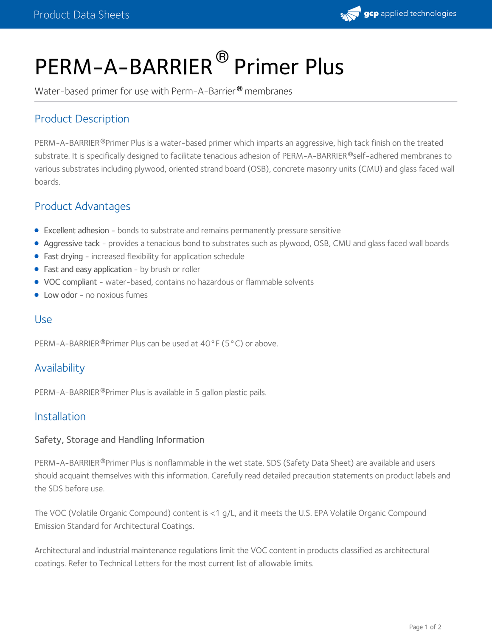

# PERM-A-BARRIER<sup>®</sup> Primer Plus

Water-based primer for use with Perm-A-Barrier® membranes

# Product Description

PERM-A-BARRIER®Primer Plus is a water-based primer which imparts an aggressive, high tack finish on the treated substrate. It is specifically designed to facilitate tenacious adhesion of PERM-A-BARRIER®self-adhered membranes to various substrates including plywood, oriented strand board (OSB), concrete masonry units (CMU) and glass faced wall boards.

## Product Advantages

- Excellent adhesion bonds to substrate and remains permanently pressure sensitive
- Aggressive tack provides a tenacious bond to substrates such as plywood, OSB, CMU and glass faced wall boards
- Fast drying increased flexibility for application schedule
- Fast and easy application by brush or roller
- VOC compliant water-based, contains no hazardous or flammable solvents
- Low odor no noxious fumes

#### Use

PERM-A-BARRIER <sup>®</sup>Primer Plus can be used at 40°F (5°C) or above.

# Availability

PERM-A-BARRIER®Primer Plus is available in 5 gallon plastic pails.

#### Installation

#### Safety, Storage and Handling Information

PERM-A-BARRIER®Primer Plus is nonflammable in the wet state. SDS (Safety Data Sheet) are available and users should acquaint themselves with this information. Carefully read detailed precaution statements on product labels and the SDS before use.

The VOC (Volatile Organic Compound) content is <1 g/L, and it meets the U.S. EPA Volatile Organic Compound Emission Standard for Architectural Coatings.

Architectural and industrial maintenance regulations limit the VOC content in products classified as architectural coatings. Refer to Technical Letters for the most current list of allowable limits.